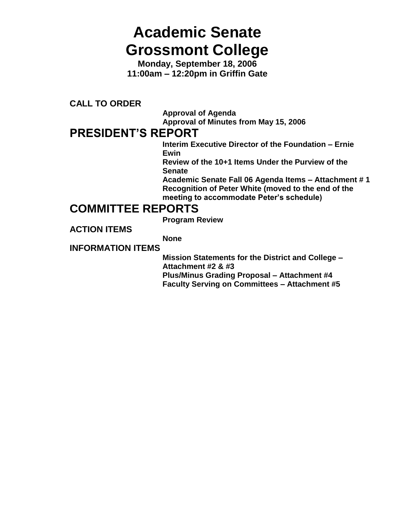# **Academic Senate Grossmont College**

**Monday, September 18, 2006 11:00am – 12:20pm in Griffin Gate**

**CALL TO ORDER**

**Approval of Agenda Approval of Minutes from May 15, 2006**

# **PRESIDENT'S REPORT**

**Interim Executive Director of the Foundation – Ernie Ewin**

**Review of the 10+1 Items Under the Purview of the Senate**

**Academic Senate Fall 06 Agenda Items – Attachment # 1 Recognition of Peter White (moved to the end of the meeting to accommodate Peter's schedule)**

# **COMMITTEE REPORTS**

**Program Review**

**ACTION ITEMS**

**None**

**INFORMATION ITEMS**

**Mission Statements for the District and College – Attachment #2 & #3 Plus/Minus Grading Proposal – Attachment #4 Faculty Serving on Committees – Attachment #5**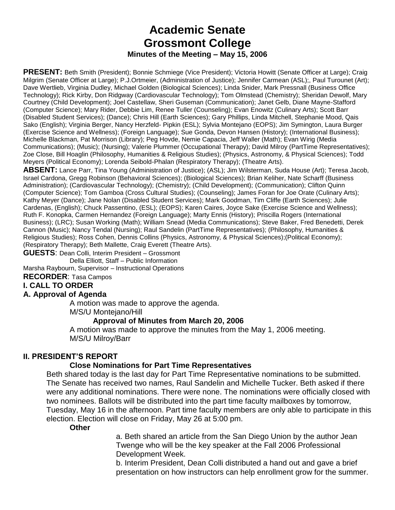# **Academic Senate Grossmont College Minutes of the Meeting – May 15, 2006**

**PRESENT:** Beth Smith (President); Bonnie Schmiege (Vice President); Victoria Howitt (Senate Officer at Large); Craig Milgrim (Senate Officer at Large); P.J.Ortmeier, (Administration of Justice); Jennifer Carmean (ASL);, Paul Turounet (Art); Dave Wertlieb, Virginia Dudley, Michael Golden (Biological Sciences); Linda Snider, Mark Pressnall (Business Office Technology); Rick Kirby, Don Ridgway (Cardiovascular Technology); Tom Olmstead (Chemistry); Sheridan Dewolf, Mary Courtney (Child Development); Joel Castellaw, Sheri Guseman (Communication); Janet Gelb, Diane Mayne-Stafford (Computer Science); Mary Rider, Debbie Lim, Renee Tuller (Counseling); Evan Enowitz (Culinary Arts); Scott Barr (Disabled Student Services); (Dance); Chris Hill (Earth Sciences); Gary Phillips, Linda Mitchell, Stephanie Mood, Qais Sako (English); Virginia Berger, Nancy Herzfeld- Pipkin (ESL); Sylvia Montejano (EOPS); Jim Symington, Laura Burger (Exercise Science and Wellness); (Foreign Language); Sue Gonda, Devon Hansen (History); (International Business); Michelle Blackman, Pat Morrison (Library); Peg Hovde, Nemie Capacia, Jeff Waller (Math); Evan Wirig (Media Communications); (Music); (Nursing); Valerie Plummer (Occupational Therapy); David Milroy (PartTime Representatives); Zoe Close, Bill Hoaglin (Philosophy, Humanities & Religious Studies); (Physics, Astronomy, & Physical Sciences); Todd Meyers (Political Economy); Lorenda Seibold-Phalan (Respiratory Therapy); (Theatre Arts).

**ABSENT:** Lance Parr, Tina Young (Administration of Justice); (ASL); Jim Wilsterman, Suda House (Art); Teresa Jacob, Israel Cardona, Gregg Robinson (Behavioral Sciences); (Biological Sciences); Brian Keliher, Nate Scharff (Business Administration); (Cardiovascular Technology); (Chemistry); (Child Development); (Communication); Clifton Quinn (Computer Science); Tom Gamboa (Cross Cultural Studies); (Counseling); James Foran for Joe Orate (Culinary Arts); Kathy Meyer (Dance); Jane Nolan (Disabled Student Services); Mark Goodman, Tim Cliffe (Earth Sciences); Julie Cardenas, (English); Chuck Passentino, (ESL); (EOPS); Karen Caires, Joyce Sake (Exercise Science and Wellness); Ruth F. Konopka, Carmen Hernandez (Foreign Language); Marty Ennis (History); Priscilla Rogers (International Business); (LRC); Susan Working (Math); William Snead (Media Communications); Steve Baker, Fred Benedetti, Derek Cannon (Music); Nancy Tendal (Nursing); Raul Sandelin (PartTime Representatives); (Philosophy, Humanities & Religious Studies); Ross Cohen, Dennis Collins (Physics, Astronomy, & Physical Sciences);(Political Economy); (Respiratory Therapy); Beth Mallette, Craig Everett (Theatre Arts).

**GUESTS**: Dean Colli, Interim President – Grossmont

Della Elliott, Staff – Public Information

Marsha Raybourn, Supervisor – Instructional Operations

**RECORDER**: Tasa Campos

### **I. CALL TO ORDER**

### **A. Approval of Agenda**

A motion was made to approve the agenda.

M/S/U Montejano/Hill

### **Approval of Minutes from March 20, 2006**

A motion was made to approve the minutes from the May 1, 2006 meeting. M/S/U Milroy/Barr

### **II. PRESIDENT'S REPORT**

### **Close Nominations for Part Time Representatives**

Beth shared today is the last day for Part Time Representative nominations to be submitted. The Senate has received two names, Raul Sandelin and Michelle Tucker. Beth asked if there were any additional nominations. There were none. The nominations were officially closed with two nominees. Ballots will be distributed into the part time faculty mailboxes by tomorrow, Tuesday, May 16 in the afternoon. Part time faculty members are only able to participate in this election. Election will close on Friday, May 26 at 5:00 pm.

### **Other**

a. Beth shared an article from the San Diego Union by the author Jean Twenge who will be the key speaker at the Fall 2006 Professional Development Week.

b. Interim President, Dean Colli distributed a hand out and gave a brief presentation on how instructors can help enrollment grow for the summer.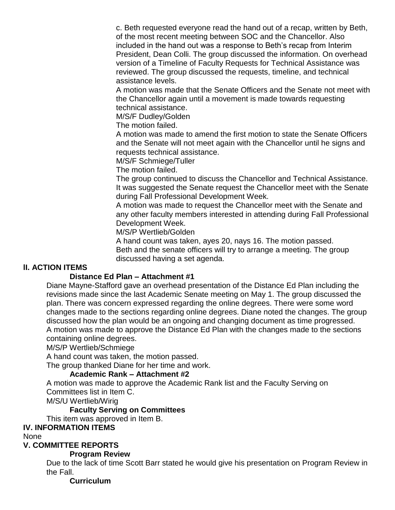c. Beth requested everyone read the hand out of a recap, written by Beth, of the most recent meeting between SOC and the Chancellor. Also included in the hand out was a response to Beth's recap from Interim President, Dean Colli. The group discussed the information. On overhead version of a Timeline of Faculty Requests for Technical Assistance was reviewed. The group discussed the requests, timeline, and technical assistance levels.

A motion was made that the Senate Officers and the Senate not meet with the Chancellor again until a movement is made towards requesting technical assistance.

M/S/F Dudley/Golden

The motion failed.

A motion was made to amend the first motion to state the Senate Officers and the Senate will not meet again with the Chancellor until he signs and requests technical assistance.

M/S/F Schmiege/Tuller

The motion failed.

The group continued to discuss the Chancellor and Technical Assistance. It was suggested the Senate request the Chancellor meet with the Senate during Fall Professional Development Week.

A motion was made to request the Chancellor meet with the Senate and any other faculty members interested in attending during Fall Professional Development Week.

M/S/P Wertlieb/Golden

A hand count was taken, ayes 20, nays 16. The motion passed. Beth and the senate officers will try to arrange a meeting. The group discussed having a set agenda.

# **lI. ACTION ITEMS**

### **Distance Ed Plan – Attachment #1**

Diane Mayne-Stafford gave an overhead presentation of the Distance Ed Plan including the revisions made since the last Academic Senate meeting on May 1. The group discussed the plan. There was concern expressed regarding the online degrees. There were some word changes made to the sections regarding online degrees. Diane noted the changes. The group discussed how the plan would be an ongoing and changing document as time progressed. A motion was made to approve the Distance Ed Plan with the changes made to the sections containing online degrees.

M/S/P Wertlieb/Schmiege

A hand count was taken, the motion passed.

The group thanked Diane for her time and work.

# **Academic Rank – Attachment #2**

A motion was made to approve the Academic Rank list and the Faculty Serving on Committees list in Item C.

M/S/U Wertlieb/Wirig

### **Faculty Serving on Committees**

This item was approved in Item B.

### **IV. INFORMATION ITEMS**

None

### **V. COMMITTEE REPORTS**

## **Program Review**

Due to the lack of time Scott Barr stated he would give his presentation on Program Review in the Fall.

### **Curriculum**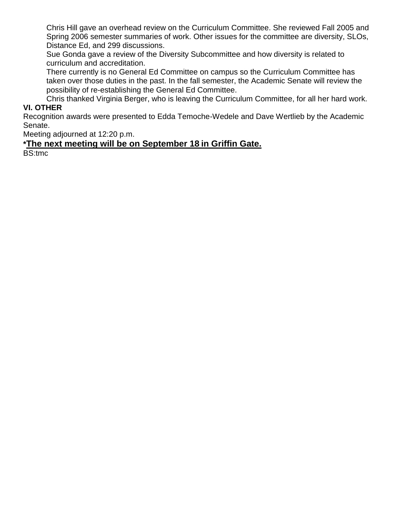Chris Hill gave an overhead review on the Curriculum Committee. She reviewed Fall 2005 and Spring 2006 semester summaries of work. Other issues for the committee are diversity, SLOs, Distance Ed, and 299 discussions.

Sue Gonda gave a review of the Diversity Subcommittee and how diversity is related to curriculum and accreditation.

There currently is no General Ed Committee on campus so the Curriculum Committee has taken over those duties in the past. In the fall semester, the Academic Senate will review the possibility of re-establishing the General Ed Committee.

Chris thanked Virginia Berger, who is leaving the Curriculum Committee, for all her hard work. **VI. OTHER**

Recognition awards were presented to Edda Temoche-Wedele and Dave Wertlieb by the Academic Senate.

Meeting adjourned at 12:20 p.m.

# **\*The next meeting will be on September 18 in Griffin Gate.**

BS:tmc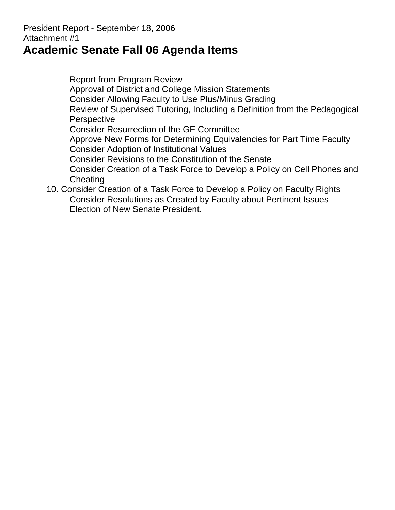# President Report - September 18, 2006 Attachment #1

# **Academic Senate Fall 06 Agenda Items**

Report from Program Review Approval of District and College Mission Statements Consider Allowing Faculty to Use Plus/Minus Grading Review of Supervised Tutoring, Including a Definition from the Pedagogical **Perspective** Consider Resurrection of the GE Committee Approve New Forms for Determining Equivalencies for Part Time Faculty Consider Adoption of Institutional Values Consider Revisions to the Constitution of the Senate Consider Creation of a Task Force to Develop a Policy on Cell Phones and **Cheating** 10. Consider Creation of a Task Force to Develop a Policy on Faculty Rights

Consider Resolutions as Created by Faculty about Pertinent Issues Election of New Senate President.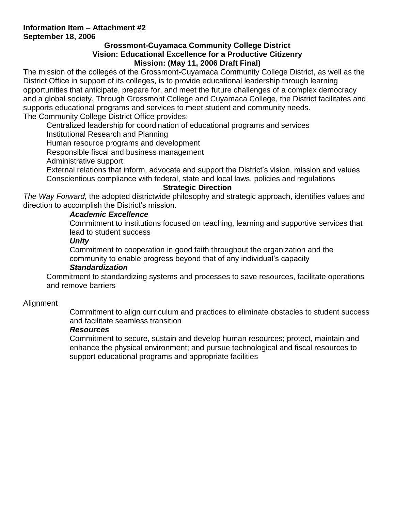# **Information Item – Attachment #2 September 18, 2006**

# **Grossmont-Cuyamaca Community College District Vision: Educational Excellence for a Productive Citizenry Mission: (May 11, 2006 Draft Final)**

The mission of the colleges of the Grossmont-Cuyamaca Community College District, as well as the District Office in support of its colleges, is to provide educational leadership through learning opportunities that anticipate, prepare for, and meet the future challenges of a complex democracy and a global society. Through Grossmont College and Cuyamaca College, the District facilitates and supports educational programs and services to meet student and community needs. The Community College District Office provides:

Centralized leadership for coordination of educational programs and services

Institutional Research and Planning

Human resource programs and development

Responsible fiscal and business management

Administrative support

External relations that inform, advocate and support the District's vision, mission and values Conscientious compliance with federal, state and local laws, policies and regulations

# **Strategic Direction**

*The Way Forward,* the adopted districtwide philosophy and strategic approach, identifies values and direction to accomplish the District's mission.

# *Academic Excellence*

Commitment to institutions focused on teaching, learning and supportive services that lead to student success

# *Unity*

Commitment to cooperation in good faith throughout the organization and the community to enable progress beyond that of any individual's capacity

# *Standardization*

Commitment to standardizing systems and processes to save resources, facilitate operations and remove barriers

# Alignment

Commitment to align curriculum and practices to eliminate obstacles to student success and facilitate seamless transition

# *Resources*

Commitment to secure, sustain and develop human resources; protect, maintain and enhance the physical environment; and pursue technological and fiscal resources to support educational programs and appropriate facilities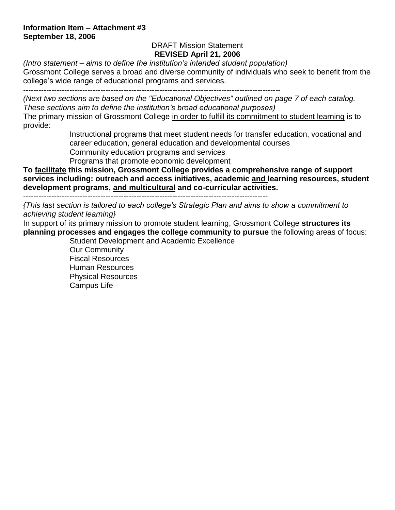# **Information Item – Attachment #3 September 18, 2006**

# DRAFT Mission Statement **REVISED April 21, 2006**

*(Intro statement – aims to define the institution's intended student population)* Grossmont College serves a broad and diverse community of individuals who seek to benefit from the college's wide range of educational programs and services.

----------------------------------------------------------------------------------------------------

*(Next two sections are based on the "Educational Objectives" outlined on page 7 of each catalog. These sections aim to define the institution's broad educational purposes)*

The primary mission of Grossmont College in order to fulfill its commitment to student learning is to provide:

> Instructional program**s** that meet student needs for transfer education, vocational and career education, general education and developmental courses

Community education program**s** and services

Programs that promote economic development

**To facilitate this mission, Grossmont College provides a comprehensive range of support services including: outreach and access initiatives, academic and learning resources, student development programs, and multicultural and co-curricular activities.**

-----------------------------------------------------------------------------------------------

*{This last section is tailored to each college's Strategic Plan and aims to show a commitment to achieving student learning}*

In support of its primary mission to promote student learning, Grossmont College **structures its planning processes and engages the college community to pursue** the following areas of focus: Student Development and Academic Excellence

Our Community Fiscal Resources Human Resources Physical Resources Campus Life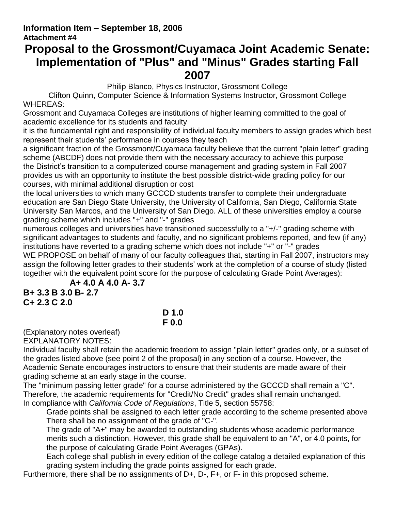# **Information Item – September 18, 2006 Attachment #4**

# **Proposal to the Grossmont/Cuyamaca Joint Academic Senate: Implementation of "Plus" and "Minus" Grades starting Fall 2007**

Philip Blanco, Physics Instructor, Grossmont College

Clifton Quinn, Computer Science & Information Systems Instructor, Grossmont College WHEREAS:

Grossmont and Cuyamaca Colleges are institutions of higher learning committed to the goal of academic excellence for its students and faculty

it is the fundamental right and responsibility of individual faculty members to assign grades which best represent their students' performance in courses they teach

a significant fraction of the Grossmont/Cuyamaca faculty believe that the current "plain letter" grading scheme (ABCDF) does not provide them with the necessary accuracy to achieve this purpose the District's transition to a computerized course management and grading system in Fall 2007 provides us with an opportunity to institute the best possible district-wide grading policy for our courses, with minimal additional disruption or cost

the local universities to which many GCCCD students transfer to complete their undergraduate education are San Diego State University, the University of California, San Diego, California State University San Marcos, and the University of San Diego. ALL of these universities employ a course grading scheme which includes "+" and "-" grades

numerous colleges and universities have transitioned successfully to a "+/-" grading scheme with significant advantages to students and faculty, and no significant problems reported, and few (if any) institutions have reverted to a grading scheme which does not include "+" or "-" grades WE PROPOSE on behalf of many of our faculty colleagues that, starting in Fall 2007, instructors may assign the following letter grades to their students' work at the completion of a course of study (listed together with the equivalent point score for the purpose of calculating Grade Point Averages):

**A+ 4.0 A 4.0 A- 3.7**

**B+ 3.3 B 3.0 B- 2.7 C+ 2.3 C 2.0** 

# **D 1.0 F 0.0**

(Explanatory notes overleaf) EXPLANATORY NOTES:

Individual faculty shall retain the academic freedom to assign "plain letter" grades only, or a subset of the grades listed above (see point 2 of the proposal) in any section of a course. However, the Academic Senate encourages instructors to ensure that their students are made aware of their grading scheme at an early stage in the course.

The "minimum passing letter grade" for a course administered by the GCCCD shall remain a "C". Therefore, the academic requirements for "Credit/No Credit" grades shall remain unchanged. In compliance with *California Code of Regulations*, Title 5, section 55758:

Grade points shall be assigned to each letter grade according to the scheme presented above There shall be no assignment of the grade of "C-".

The grade of "A+" may be awarded to outstanding students whose academic performance merits such a distinction. However, this grade shall be equivalent to an "A", or 4.0 points, for the purpose of calculating Grade Point Averages (GPAs).

Each college shall publish in every edition of the college catalog a detailed explanation of this grading system including the grade points assigned for each grade.

Furthermore, there shall be no assignments of D+, D-, F+, or F- in this proposed scheme.